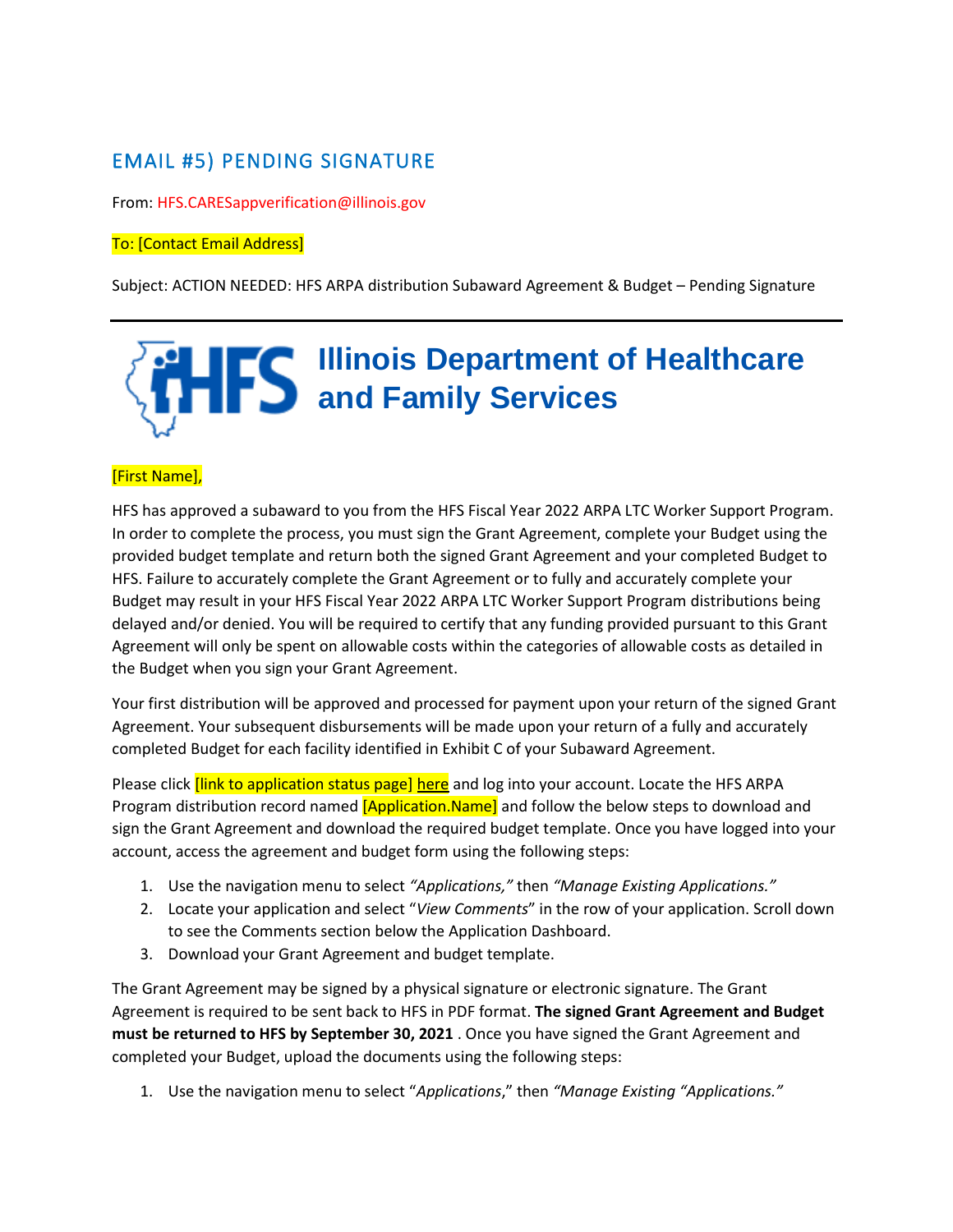## EMAIL #5) PENDING SIGNATURE

From: HFS.CARESappverification@illinois.gov

## To: [Contact Email Address]

Subject: ACTION NEEDED: HFS ARPA distribution Subaward Agreement & Budget – Pending Signature

## **Illinois Department of Healthcare and Family Services**

## [First Name],

HFS has approved a subaward to you from the HFS Fiscal Year 2022 ARPA LTC Worker Support Program. In order to complete the process, you must sign the Grant Agreement, complete your Budget using the provided budget template and return both the signed Grant Agreement and your completed Budget to HFS. Failure to accurately complete the Grant Agreement or to fully and accurately complete your Budget may result in your HFS Fiscal Year 2022 ARPA LTC Worker Support Program distributions being delayed and/or denied. You will be required to certify that any funding provided pursuant to this Grant Agreement will only be spent on allowable costs within the categories of allowable costs as detailed in the Budget when you sign your Grant Agreement.

Your first distribution will be approved and processed for payment upon your return of the signed Grant Agreement. Your subsequent disbursements will be made upon your return of a fully and accurately completed Budget for each facility identified in Exhibit C of your Subaward Agreement.

Please click *[link to application status page] here* and log into your account. Locate the HFS ARPA Program distribution record named *[Application.Name]* and follow the below steps to download and sign the Grant Agreement and download the required budget template. Once you have logged into your account, access the agreement and budget form using the following steps:

- 1. Use the navigation menu to select *"Applications,"* then *"Manage Existing Applications."*
- 2. Locate your application and select "*View Comments*" in the row of your application. Scroll down to see the Comments section below the Application Dashboard.
- 3. Download your Grant Agreement and budget template.

The Grant Agreement may be signed by a physical signature or electronic signature. The Grant Agreement is required to be sent back to HFS in PDF format. **The signed Grant Agreement and Budget must be returned to HFS by September 30, 2021** . Once you have signed the Grant Agreement and completed your Budget, upload the documents using the following steps:

1. Use the navigation menu to select "*Applications*," then *"Manage Existing "Applications."*